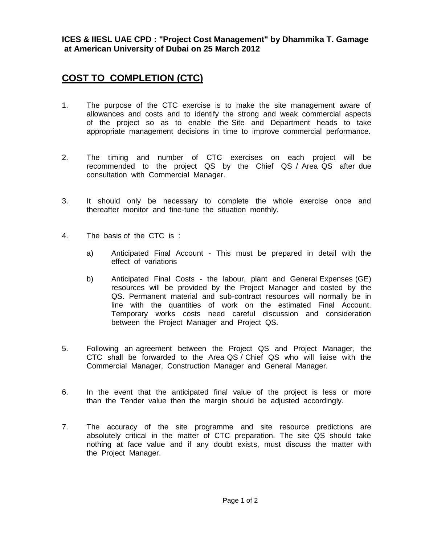**ICES & IIESL UAE CPD : "Project Cost Management" by Dhammika T. Gamage at American University of Dubai on 25 March 2012**

## **COST TO COMPLETION (CTC)**

- 1. The purpose of the CTC exercise is to make the site management aware of allowances and costs and to identify the strong and weak commercial aspects of the project so as to enable the Site and Department heads to take appropriate management decisions in time to improve commercial performance.
- 2. The timing and number of CTC exercises on each project will be recommended to the project QS by the Chief QS / Area QS after due consultation with Commercial Manager.
- 3. It should only be necessary to complete the whole exercise once and thereafter monitor and fine-tune the situation monthly.
- 4. The basis of the CTC is :
	- a) Anticipated Final Account This must be prepared in detail with the effect of variations
	- b) Anticipated Final Costs the labour, plant and General Expenses (GE) resources will be provided by the Project Manager and costed by the QS. Permanent material and sub-contract resources will normally be in line with the quantities of work on the estimated Final Account. Temporary works costs need careful discussion and consideration between the Project Manager and Project QS.
- 5. Following an agreement between the Project QS and Project Manager, the CTC shall be forwarded to the Area QS / Chief QS who will liaise with the Commercial Manager, Construction Manager and General Manager.
- 6. In the event that the anticipated final value of the project is less or more than the Tender value then the margin should be adjusted accordingly.
- 7. The accuracy of the site programme and site resource predictions are absolutely critical in the matter of CTC preparation. The site QS should take nothing at face value and if any doubt exists, must discuss the matter with the Project Manager.